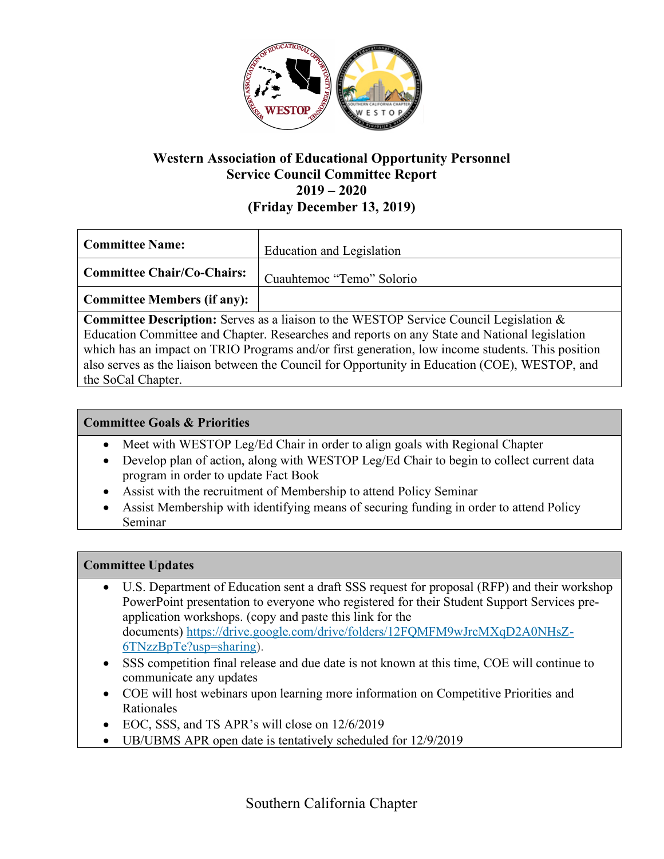

# **Western Association of Educational Opportunity Personnel Service Council Committee Report 2019 – 2020 (Friday December 13, 2019)**

| Committee Name:                    | Education and Legislation |
|------------------------------------|---------------------------|
| <b>Committee Chair/Co-Chairs:</b>  | Cuauhtemoc "Temo" Solorio |
| <b>Committee Members (if any):</b> |                           |

**Committee Description:** Serves as a liaison to the WESTOP Service Council Legislation & Education Committee and Chapter. Researches and reports on any State and National legislation which has an impact on TRIO Programs and/or first generation, low income students. This position also serves as the liaison between the Council for Opportunity in Education (COE), WESTOP, and the SoCal Chapter.

# **Committee Goals & Priorities**

- Meet with WESTOP Leg/Ed Chair in order to align goals with Regional Chapter
- Develop plan of action, along with WESTOP Leg/Ed Chair to begin to collect current data program in order to update Fact Book
- Assist with the recruitment of Membership to attend Policy Seminar
- Assist Membership with identifying means of securing funding in order to attend Policy Seminar

### **Committee Updates**

- U.S. Department of Education sent a draft SSS request for proposal (RFP) and their workshop PowerPoint presentation to everyone who registered for their Student Support Services preapplication workshops. (copy and paste this link for the documents) https://drive.google.com/drive/folders/12FQMFM9wJrcMXqD2A0NHsZ-6TNzzBpTe?usp=sharing).
- SSS competition final release and due date is not known at this time, COE will continue to communicate any updates
- COE will host webinars upon learning more information on Competitive Priorities and Rationales
- EOC, SSS, and TS APR's will close on  $12/6/2019$
- UB/UBMS APR open date is tentatively scheduled for 12/9/2019